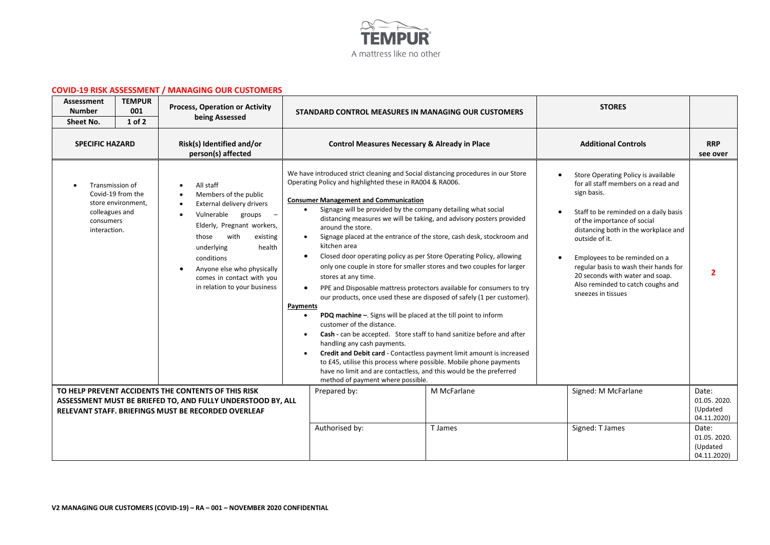

## **COVID-19 RISK ASSESSMENT / MANAGING OUR CUSTOMERS**

| Assessment<br><b>Number</b><br>Sheet No.                       | <b>TEMPUR</b><br>001<br>$1$ of $2$      | <b>Process, Operation or Activity</b><br>being Assessed                                                                                                                                                                                                                                                     |                                                 | STANDARD CONTROL MEASURES IN MANAGING OUR CUSTOMERS                                                                                                                                                                                                                                                                                                                                                                                                                                                                                                                                                                                                                                                                                                                                                                                                                                                                                                                                                                                                                                                                                                                                                                                               |             | <b>STORES</b>                                                                                                                                                                                                                                                                                                                                                                                       |                                                 |
|----------------------------------------------------------------|-----------------------------------------|-------------------------------------------------------------------------------------------------------------------------------------------------------------------------------------------------------------------------------------------------------------------------------------------------------------|-------------------------------------------------|---------------------------------------------------------------------------------------------------------------------------------------------------------------------------------------------------------------------------------------------------------------------------------------------------------------------------------------------------------------------------------------------------------------------------------------------------------------------------------------------------------------------------------------------------------------------------------------------------------------------------------------------------------------------------------------------------------------------------------------------------------------------------------------------------------------------------------------------------------------------------------------------------------------------------------------------------------------------------------------------------------------------------------------------------------------------------------------------------------------------------------------------------------------------------------------------------------------------------------------------------|-------------|-----------------------------------------------------------------------------------------------------------------------------------------------------------------------------------------------------------------------------------------------------------------------------------------------------------------------------------------------------------------------------------------------------|-------------------------------------------------|
| <b>SPECIFIC HAZARD</b>                                         |                                         | Risk(s) Identified and/or<br>person(s) affected                                                                                                                                                                                                                                                             |                                                 | <b>Control Measures Necessary &amp; Already in Place</b>                                                                                                                                                                                                                                                                                                                                                                                                                                                                                                                                                                                                                                                                                                                                                                                                                                                                                                                                                                                                                                                                                                                                                                                          |             | <b>Additional Controls</b>                                                                                                                                                                                                                                                                                                                                                                          | <b>RRP</b><br>see over                          |
| Transmission of<br>colleagues and<br>consumers<br>interaction. | Covid-19 from the<br>store environment, | All staff<br>Members of the public<br>External delivery drivers<br>Vulnerable groups<br>$\sim$ $-$<br>Elderly, Pregnant workers,<br>with<br>those<br>existing<br>underlying<br>health<br>conditions<br>Anyone else who physically<br>$\bullet$<br>comes in contact with you<br>in relation to your business | $\bullet$<br>$\bullet$<br>Payments<br>$\bullet$ | We have introduced strict cleaning and Social distancing procedures in our Store<br>Operating Policy and highlighted these in RA004 & RA006.<br><b>Consumer Management and Communication</b><br>Signage will be provided by the company detailing what social<br>distancing measures we will be taking, and advisory posters provided<br>around the store.<br>Signage placed at the entrance of the store, cash desk, stockroom and<br>kitchen area<br>Closed door operating policy as per Store Operating Policy, allowing<br>only one couple in store for smaller stores and two couples for larger<br>stores at any time.<br>PPE and Disposable mattress protectors available for consumers to try<br>our products, once used these are disposed of safely (1 per customer).<br>PDQ machine -. Signs will be placed at the till point to inform<br>customer of the distance.<br>Cash - can be accepted. Store staff to hand sanitize before and after<br>handling any cash payments.<br>Credit and Debit card - Contactless payment limit amount is increased<br>to £45, utilise this process where possible. Mobile phone payments<br>have no limit and are contactless, and this would be the preferred<br>method of payment where possible. |             | Store Operating Policy is available<br>for all staff members on a read and<br>sign basis.<br>Staff to be reminded on a daily basis<br>of the importance of social<br>distancing both in the workplace and<br>outside of it.<br>Employees to be reminded on a<br>regular basis to wash their hands for<br>20 seconds with water and soap.<br>Also reminded to catch coughs and<br>sneezes in tissues |                                                 |
|                                                                |                                         | TO HELP PREVENT ACCIDENTS THE CONTENTS OF THIS RISK<br>ASSESSMENT MUST BE BRIEFED TO, AND FULLY UNDERSTOOD BY, ALL<br>RELEVANT STAFF. BRIEFINGS MUST BE RECORDED OVERLEAF                                                                                                                                   |                                                 | Prepared by:                                                                                                                                                                                                                                                                                                                                                                                                                                                                                                                                                                                                                                                                                                                                                                                                                                                                                                                                                                                                                                                                                                                                                                                                                                      | M McFarlane | Signed: M McFarlane                                                                                                                                                                                                                                                                                                                                                                                 | Date:<br>01.05.2020.<br>(Updated<br>04.11.2020) |
|                                                                |                                         |                                                                                                                                                                                                                                                                                                             |                                                 | Authorised by:                                                                                                                                                                                                                                                                                                                                                                                                                                                                                                                                                                                                                                                                                                                                                                                                                                                                                                                                                                                                                                                                                                                                                                                                                                    | T James     | Signed: T James                                                                                                                                                                                                                                                                                                                                                                                     | Date:<br>01.05.2020.<br>(Updated<br>04.11.2020) |